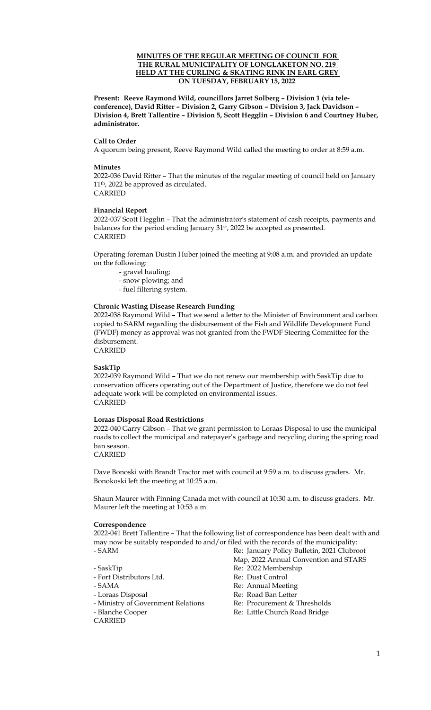# **MINUTES OF THE REGULAR MEETING OF COUNCIL FOR THE RURAL MUNICIPALITY OF LONGLAKETON NO. 219 HELD AT THE CURLING & SKATING RINK IN EARL GREY ON TUESDAY, FEBRUARY 15, 2022**

**Present: Reeve Raymond Wild, councillors Jarret Solberg – Division 1 (via teleconference), David Ritter – Division 2, Garry Gibson – Division 3, Jack Davidson – Division 4, Brett Tallentire – Division 5, Scott Hegglin – Division 6 and Courtney Huber, administrator.**

## **Call to Order**

A quorum being present, Reeve Raymond Wild called the meeting to order at 8:59 a.m.

## **Minutes**

2022-036 David Ritter – That the minutes of the regular meeting of council held on January 11th, 2022 be approved as circulated. CARRIED

# **Financial Report**

2022-037 Scott Hegglin – That the administrator's statement of cash receipts, payments and balances for the period ending January 31<sup>st</sup>, 2022 be accepted as presented. CARRIED

Operating foreman Dustin Huber joined the meeting at 9:08 a.m. and provided an update on the following:

- gravel hauling;
- snow plowing; and
- fuel filtering system.

# **Chronic Wasting Disease Research Funding**

2022-038 Raymond Wild – That we send a letter to the Minister of Environment and carbon copied to SARM regarding the disbursement of the Fish and Wildlife Development Fund (FWDF) money as approval was not granted from the FWDF Steering Committee for the disbursement.

CARRIED

# **SaskTip**

2022-039 Raymond Wild – That we do not renew our membership with SaskTip due to conservation officers operating out of the Department of Justice, therefore we do not feel adequate work will be completed on environmental issues. CARRIED

# **Loraas Disposal Road Restrictions**

2022-040 Garry Gibson – That we grant permission to Loraas Disposal to use the municipal roads to collect the municipal and ratepayer's garbage and recycling during the spring road ban season.

CARRIED

Dave Bonoski with Brandt Tractor met with council at 9:59 a.m. to discuss graders. Mr. Bonokoski left the meeting at 10:25 a.m.

Shaun Maurer with Finning Canada met with council at 10:30 a.m. to discuss graders. Mr. Maurer left the meeting at 10:53 a.m.

## **Correspondence**

2022-041 Brett Tallentire – That the following list of correspondence has been dealt with and may now be suitably responded to and/or filed with the records of the municipality: - SARM Re: January Policy Bulletin, 2021 Clubroot

- Map, 2022 Annual Convention and STARS
- SaskTip Re: 2022 Membership
- Fort Distributors Ltd. Re: Dust Control
	-
- 
- Ministry of Government Relations Re: Procurement & Thresholds
- 
- CARRIED
- SAMA<br>
 Loraas Disposal<br>
Re: Road Ban Letter Re: Road Ban Letter
	-
- Blanche Cooper Re: Little Church Road Bridge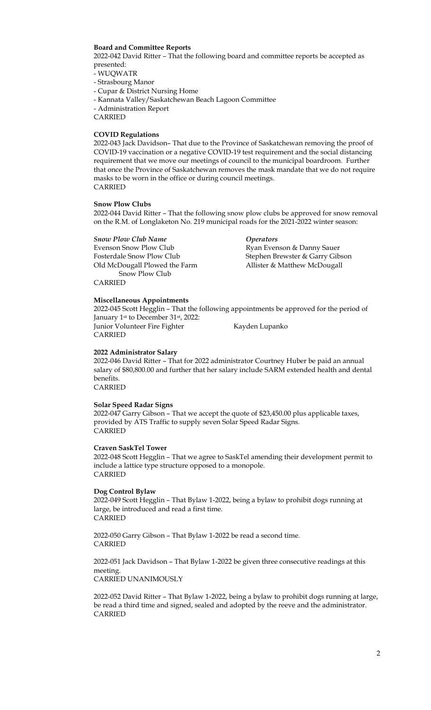# **Board and Committee Reports**

2022-042 David Ritter – That the following board and committee reports be accepted as presented:

- WUQWATR
- Strasbourg Manor
- Cupar & District Nursing Home
- Kannata Valley/Saskatchewan Beach Lagoon Committee
- Administration Report

CARRIED

# **COVID Regulations**

2022-043 Jack Davidson– That due to the Province of Saskatchewan removing the proof of COVID-19 vaccination or a negative COVID-19 test requirement and the social distancing requirement that we move our meetings of council to the municipal boardroom. Further that once the Province of Saskatchewan removes the mask mandate that we do not require masks to be worn in the office or during council meetings. CARRIED

#### **Snow Plow Clubs**

2022-044 David Ritter – That the following snow plow clubs be approved for snow removal on the R.M. of Longlaketon No. 219 municipal roads for the 2021-2022 winter season:

## *Snow Plow Club Name Operators*

Evenson Snow Plow Club Ryan Evenson & Danny Sauer Fosterdale Snow Plow Club Stephen Brewster & Garry Gibson Old McDougall Plowed the Farm Allister & Matthew McDougall Snow Plow Club CARRIED

## **Miscellaneous Appointments**

2022-045 Scott Hegglin – That the following appointments be approved for the period of January 1<sup>st</sup> to December 31<sup>st</sup>, 2022: Junior Volunteer Fire Fighter Kayden Lupanko CARRIED

## **2022 Administrator Salary**

2022-046 David Ritter – That for 2022 administrator Courtney Huber be paid an annual salary of \$80,800.00 and further that her salary include SARM extended health and dental benefits.

CARRIED

#### **Solar Speed Radar Signs**

2022-047 Garry Gibson – That we accept the quote of \$23,450.00 plus applicable taxes, provided by ATS Traffic to supply seven Solar Speed Radar Signs. CARRIED

## **Craven SaskTel Tower**

2022-048 Scott Hegglin – That we agree to SaskTel amending their development permit to include a lattice type structure opposed to a monopole. CARRIED

## **Dog Control Bylaw**

2022-049 Scott Hegglin – That Bylaw 1-2022, being a bylaw to prohibit dogs running at large, be introduced and read a first time. CARRIED

2022-050 Garry Gibson – That Bylaw 1-2022 be read a second time. CARRIED

2022-051 Jack Davidson – That Bylaw 1-2022 be given three consecutive readings at this meeting.

CARRIED UNANIMOUSLY

2022-052 David Ritter – That Bylaw 1-2022, being a bylaw to prohibit dogs running at large, be read a third time and signed, sealed and adopted by the reeve and the administrator. CARRIED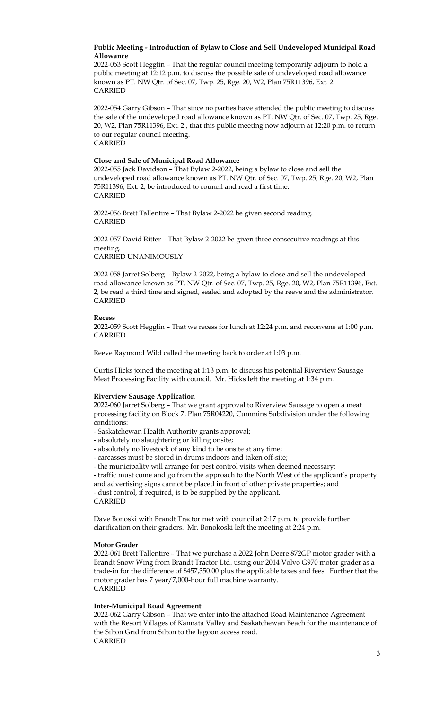# **Public Meeting - Introduction of Bylaw to Close and Sell Undeveloped Municipal Road Allowance**

2022-053 Scott Hegglin – That the regular council meeting temporarily adjourn to hold a public meeting at 12:12 p.m. to discuss the possible sale of undeveloped road allowance known as PT. NW Qtr. of Sec. 07, Twp. 25, Rge. 20, W2, Plan 75R11396, Ext. 2. CARRIED

2022-054 Garry Gibson – That since no parties have attended the public meeting to discuss the sale of the undeveloped road allowance known as PT. NW Qtr. of Sec. 07, Twp. 25, Rge. 20, W2, Plan 75R11396, Ext. 2., that this public meeting now adjourn at 12:20 p.m. to return to our regular council meeting. CARRIED

## **Close and Sale of Municipal Road Allowance**

2022-055 Jack Davidson – That Bylaw 2-2022, being a bylaw to close and sell the undeveloped road allowance known as PT. NW Qtr. of Sec. 07, Twp. 25, Rge. 20, W2, Plan 75R11396, Ext. 2, be introduced to council and read a first time. CARRIED

2022-056 Brett Tallentire – That Bylaw 2-2022 be given second reading. CARRIED

2022-057 David Ritter – That Bylaw 2-2022 be given three consecutive readings at this meeting.

CARRIED UNANIMOUSLY

2022-058 Jarret Solberg – Bylaw 2-2022, being a bylaw to close and sell the undeveloped road allowance known as PT. NW Qtr. of Sec. 07, Twp. 25, Rge. 20, W2, Plan 75R11396, Ext. 2, be read a third time and signed, sealed and adopted by the reeve and the administrator. CARRIED

## **Recess**

2022-059 Scott Hegglin – That we recess for lunch at 12:24 p.m. and reconvene at 1:00 p.m. CARRIED

Reeve Raymond Wild called the meeting back to order at 1:03 p.m.

Curtis Hicks joined the meeting at 1:13 p.m. to discuss his potential Riverview Sausage Meat Processing Facility with council. Mr. Hicks left the meeting at 1:34 p.m.

# **Riverview Sausage Application**

2022-060 Jarret Solberg – That we grant approval to Riverview Sausage to open a meat processing facility on Block 7, Plan 75R04220, Cummins Subdivision under the following conditions:

- Saskatchewan Health Authority grants approval;
- absolutely no slaughtering or killing onsite;
- absolutely no livestock of any kind to be onsite at any time;
- carcasses must be stored in drums indoors and taken off-site;
- the municipality will arrange for pest control visits when deemed necessary;

- traffic must come and go from the approach to the North West of the applicant's property and advertising signs cannot be placed in front of other private properties; and

- dust control, if required, is to be supplied by the applicant. CARRIED

Dave Bonoski with Brandt Tractor met with council at 2:17 p.m. to provide further clarification on their graders. Mr. Bonokoski left the meeting at 2:24 p.m.

# **Motor Grader**

2022-061 Brett Tallentire – That we purchase a 2022 John Deere 872GP motor grader with a Brandt Snow Wing from Brandt Tractor Ltd. using our 2014 Volvo G970 motor grader as a trade-in for the difference of \$457,350.00 plus the applicable taxes and fees. Further that the motor grader has 7 year/7,000-hour full machine warranty. CARRIED

# **Inter-Municipal Road Agreement**

2022-062 Garry Gibson – That we enter into the attached Road Maintenance Agreement with the Resort Villages of Kannata Valley and Saskatchewan Beach for the maintenance of the Silton Grid from Silton to the lagoon access road. CARRIED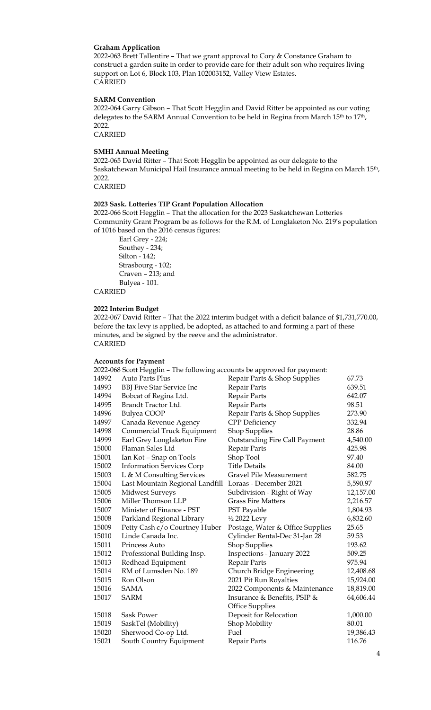# **Graham Application**

2022-063 Brett Tallentire – That we grant approval to Cory & Constance Graham to construct a garden suite in order to provide care for their adult son who requires living support on Lot 6, Block 103, Plan 102003152, Valley View Estates. CARRIED

## **SARM Convention**

2022-064 Garry Gibson – That Scott Hegglin and David Ritter be appointed as our voting delegates to the SARM Annual Convention to be held in Regina from March 15<sup>th</sup> to 17<sup>th</sup>, 2022.

CARRIED

## **SMHI Annual Meeting**

2022-065 David Ritter – That Scott Hegglin be appointed as our delegate to the Saskatchewan Municipal Hail Insurance annual meeting to be held in Regina on March 15<sup>th</sup>, 2022.

CARRIED

# **2023 Sask. Lotteries TIP Grant Population Allocation**

2022-066 Scott Hegglin – That the allocation for the 2023 Saskatchewan Lotteries Community Grant Program be as follows for the R.M. of Longlaketon No. 219's population of 1016 based on the 2016 census figures:

Earl Grey - 224; Southey - 234; Silton - 142; Strasbourg - 102; Craven – 213; and Bulyea - 101.

#### CARRIED

#### **2022 Interim Budget**

2022-067 David Ritter – That the 2022 interim budget with a deficit balance of \$1,731,770.00, before the tax levy is applied, be adopted, as attached to and forming a part of these minutes, and be signed by the reeve and the administrator. CARRIED

## **Accounts for Payment**

|       | 2022-068 Scott Hegglin - The following accounts be approved for payment: |                                  |           |
|-------|--------------------------------------------------------------------------|----------------------------------|-----------|
| 14992 | <b>Auto Parts Plus</b>                                                   | Repair Parts & Shop Supplies     | 67.73     |
| 14993 | <b>BBJ</b> Five Star Service Inc                                         | Repair Parts                     | 639.51    |
| 14994 | Bobcat of Regina Ltd.                                                    | Repair Parts                     | 642.07    |
| 14995 | Brandt Tractor Ltd.                                                      | Repair Parts                     | 98.51     |
| 14996 | <b>Bulyea COOP</b>                                                       | Repair Parts & Shop Supplies     | 273.90    |
| 14997 | Canada Revenue Agency                                                    | CPP Deficiency                   | 332.94    |
| 14998 | Commercial Truck Equipment                                               | <b>Shop Supplies</b>             | 28.86     |
| 14999 | Earl Grey Longlaketon Fire                                               | Outstanding Fire Call Payment    | 4,540.00  |
| 15000 | Flaman Sales Ltd                                                         | Repair Parts                     | 425.98    |
| 15001 | Ian Kot - Snap on Tools                                                  | Shop Tool                        | 97.40     |
| 15002 | <b>Information Services Corp</b>                                         | <b>Title Details</b>             | 84.00     |
| 15003 | L & M Consulting Services                                                | Gravel Pile Measurement          | 582.75    |
| 15004 | Last Mountain Regional Landfill Loraas - December 2021                   |                                  | 5,590.97  |
| 15005 | Midwest Surveys                                                          | Subdivision - Right of Way       | 12,157.00 |
| 15006 | Miller Thomson LLP                                                       | <b>Grass Fire Matters</b>        | 2,216.57  |
| 15007 | Minister of Finance - PST                                                | PST Payable                      | 1,804.93  |
| 15008 | Parkland Regional Library                                                | $\frac{1}{2}$ 2022 Levy          | 6,832.60  |
| 15009 | Petty Cash c/o Courtney Huber                                            | Postage, Water & Office Supplies | 25.65     |
| 15010 | Linde Canada Inc.                                                        | Cylinder Rental-Dec 31-Jan 28    | 59.53     |
| 15011 | Princess Auto                                                            | Shop Supplies                    | 193.62    |
| 15012 | Professional Building Insp.                                              | Inspections - January 2022       | 509.25    |
| 15013 | Redhead Equipment                                                        | Repair Parts                     | 975.94    |
| 15014 | RM of Lumsden No. 189                                                    | Church Bridge Engineering        | 12,408.68 |
| 15015 | Ron Olson                                                                | 2021 Pit Run Royalties           | 15,924.00 |
| 15016 | SAMA                                                                     | 2022 Components & Maintenance    | 18,819.00 |
| 15017 | <b>SARM</b>                                                              | Insurance & Benefits, PSIP &     | 64,606.44 |
|       |                                                                          | <b>Office Supplies</b>           |           |
| 15018 | <b>Sask Power</b>                                                        | Deposit for Relocation           | 1,000.00  |
| 15019 | SaskTel (Mobility)                                                       | Shop Mobility                    | 80.01     |
| 15020 | Sherwood Co-op Ltd.                                                      | Fuel                             | 19,386.43 |
| 15021 | South Country Equipment                                                  | Repair Parts                     | 116.76    |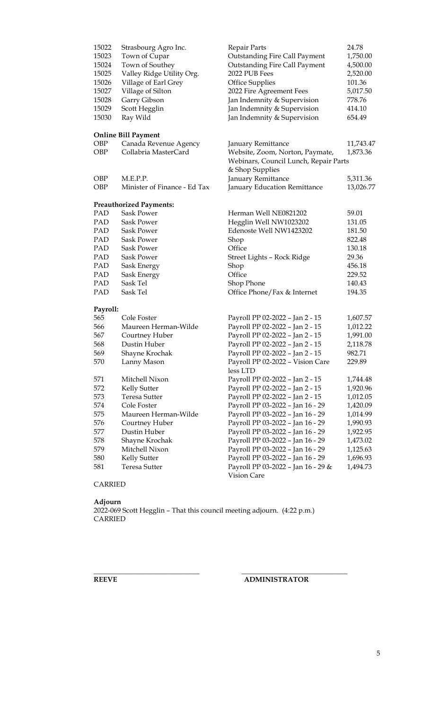| 15022    | Strasbourg Agro Inc.           | Repair Parts                                | 24.78     |
|----------|--------------------------------|---------------------------------------------|-----------|
| 15023    | Town of Cupar                  | Outstanding Fire Call Payment               | 1,750.00  |
| 15024    | Town of Southey                | Outstanding Fire Call Payment               | 4,500.00  |
| 15025    | Valley Ridge Utility Org.      | 2022 PUB Fees                               | 2,520.00  |
| 15026    | Village of Earl Grey           | <b>Office Supplies</b>                      | 101.36    |
| 15027    | Village of Silton              | 2022 Fire Agreement Fees                    | 5,017.50  |
| 15028    | Garry Gibson                   | Jan Indemnity & Supervision                 | 778.76    |
| 15029    | Scott Hegglin                  | Jan Indemnity & Supervision                 | 414.10    |
| 15030    | Ray Wild                       | Jan Indemnity & Supervision                 | 654.49    |
|          | <b>Online Bill Payment</b>     |                                             |           |
| OBP      | Canada Revenue Agency          | January Remittance                          | 11,743.47 |
| OBP      | Collabria MasterCard           | Website, Zoom, Norton, Paymate,             | 1,873.36  |
|          |                                | Webinars, Council Lunch, Repair Parts       |           |
|          |                                | & Shop Supplies                             |           |
| OBP      | M.E.P.P.                       | January Remittance                          | 5,311.36  |
| OBP      | Minister of Finance - Ed Tax   | January Education Remittance                | 13,026.77 |
|          | <b>Preauthorized Payments:</b> |                                             |           |
| PAD      | <b>Sask Power</b>              | Herman Well NE0821202                       | 59.01     |
| PAD      | Sask Power                     | Hegglin Well NW1023202                      | 131.05    |
| PAD      | Sask Power                     | Edenoste Well NW1423202                     | 181.50    |
| PAD      | Sask Power                     | Shop                                        | 822.48    |
| PAD      | Sask Power                     | Office                                      | 130.18    |
| PAD      | Sask Power                     | Street Lights - Rock Ridge                  | 29.36     |
| PAD      | Sask Energy                    | Shop                                        | 456.18    |
| PAD      | Sask Energy                    | Office                                      | 229.52    |
| PAD      | Sask Tel                       | Shop Phone                                  | 140.43    |
| PAD      | Sask Tel                       | Office Phone/Fax & Internet                 | 194.35    |
| Payroll: |                                |                                             |           |
| 565      | Cole Foster                    | Payroll PP 02-2022 - Jan 2 - 15             | 1,607.57  |
| 566      | Maureen Herman-Wilde           | Payroll PP 02-2022 - Jan 2 - 15             | 1,012.22  |
| 567      | Courtney Huber                 | Payroll PP 02-2022 - Jan 2 - 15             | 1,991.00  |
| 568      | Dustin Huber                   | Payroll PP 02-2022 - Jan 2 - 15             | 2,118.78  |
| 569      | Shayne Krochak                 | Payroll PP 02-2022 - Jan 2 - 15             | 982.71    |
| 570      | Lanny Mason                    | Payroll PP 02-2022 - Vision Care            | 229.89    |
| 571      | Mitchell Nixon                 | less LTD<br>Payroll PP 02-2022 - Jan 2 - 15 | 1,744.48  |
| 572      | Kelly Sutter                   | Payroll PP 02-2022 - Jan 2 - 15             | 1,920.96  |
| 573      | Teresa Sutter                  | Payroll PP 02-2022 - Jan 2 - 15             | 1,012.05  |
| 574      | Cole Foster                    | Payroll PP 03-2022 - Jan 16 - 29            | 1,420.09  |
| 575      | Maureen Herman-Wilde           | Payroll PP 03-2022 - Jan 16 - 29            | 1,014.99  |
| 576      | Courtney Huber                 | Payroll PP 03-2022 - Jan 16 - 29            | 1,990.93  |
| 577      | Dustin Huber                   | Payroll PP 03-2022 - Jan 16 - 29            | 1,922.95  |
| 578      | Shayne Krochak                 | Payroll PP 03-2022 - Jan 16 - 29            | 1,473.02  |
| 579      | Mitchell Nixon                 | Payroll PP 03-2022 - Jan 16 - 29            | 1,125.63  |
| 580      | Kelly Sutter                   | Payroll PP 03-2022 - Jan 16 - 29            | 1,696.93  |
| 581      | <b>Teresa Sutter</b>           | Payroll PP 03-2022 - Jan 16 - 29 &          | 1,494.73  |
|          |                                | Vision Care                                 |           |

# CARRIED

#### **Adjourn**

2022-069 Scott Hegglin – That this council meeting adjourn. (4:22 p.m.) CARRIED

**\_\_\_\_\_\_\_\_\_\_\_\_\_\_\_\_\_\_\_\_\_\_\_\_\_\_\_\_\_\_ \_\_\_\_\_\_\_\_\_\_\_\_\_\_\_\_\_\_\_\_\_\_\_\_\_\_\_\_\_\_**

# **REEVE ADMINISTRATOR**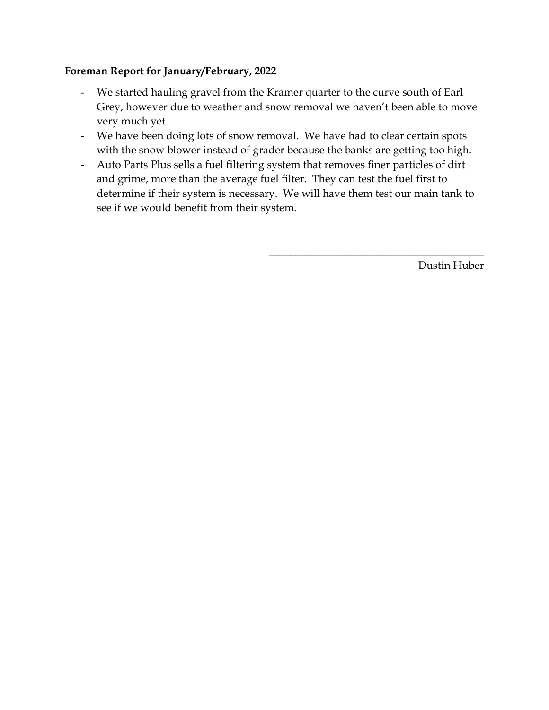# **Foreman Report for January/February, 2022**

- We started hauling gravel from the Kramer quarter to the curve south of Earl Grey, however due to weather and snow removal we haven't been able to move very much yet.
- We have been doing lots of snow removal. We have had to clear certain spots with the snow blower instead of grader because the banks are getting too high.
- Auto Parts Plus sells a fuel filtering system that removes finer particles of dirt and grime, more than the average fuel filter. They can test the fuel first to determine if their system is necessary. We will have them test our main tank to see if we would benefit from their system.

Dustin Huber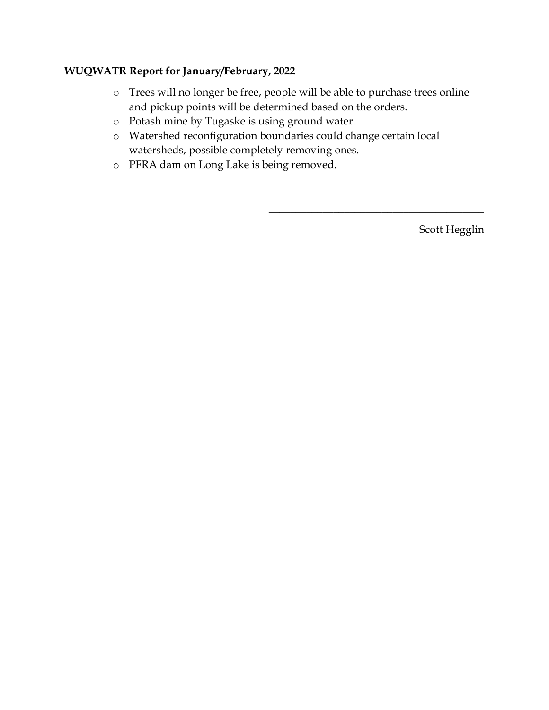# **WUQWATR Report for January/February, 2022**

- o Trees will no longer be free, people will be able to purchase trees online and pickup points will be determined based on the orders.
- o Potash mine by Tugaske is using ground water.
- o Watershed reconfiguration boundaries could change certain local watersheds, possible completely removing ones.
- o PFRA dam on Long Lake is being removed.

Scott Hegglin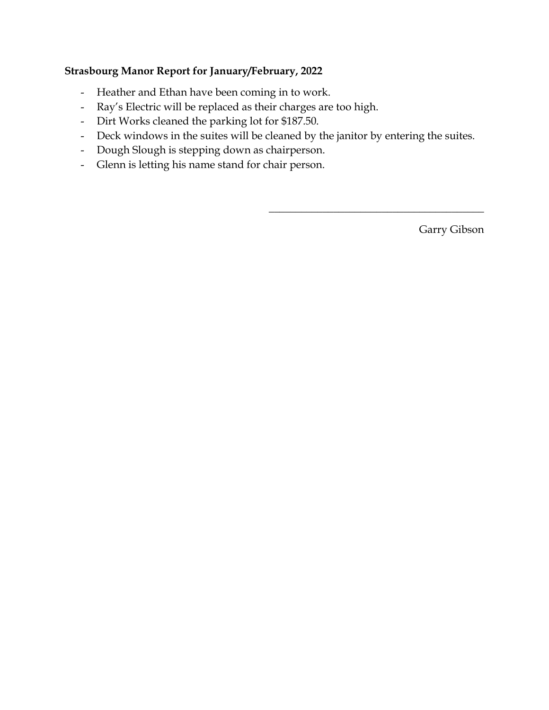# **Strasbourg Manor Report for January/February, 2022**

- Heather and Ethan have been coming in to work.
- Ray's Electric will be replaced as their charges are too high.
- Dirt Works cleaned the parking lot for \$187.50.
- Deck windows in the suites will be cleaned by the janitor by entering the suites.
- Dough Slough is stepping down as chairperson.
- Glenn is letting his name stand for chair person.

Garry Gibson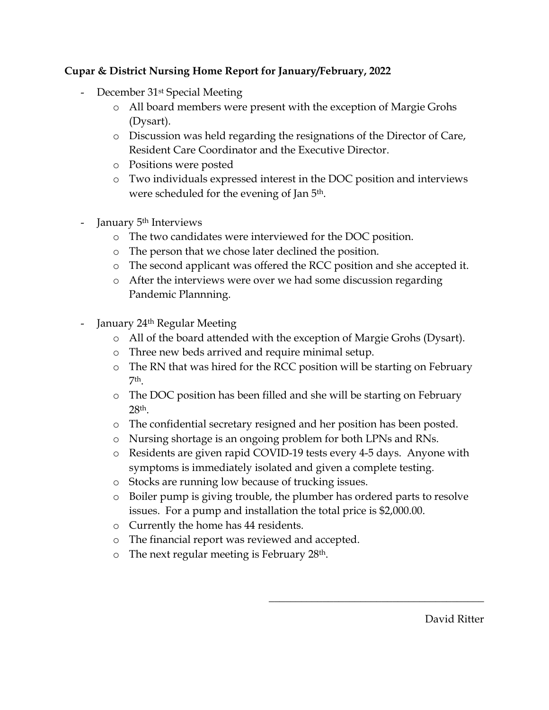# **Cupar & District Nursing Home Report for January/February, 2022**

- December 31<sup>st</sup> Special Meeting
	- o All board members were present with the exception of Margie Grohs (Dysart).
	- o Discussion was held regarding the resignations of the Director of Care, Resident Care Coordinator and the Executive Director.
	- o Positions were posted
	- o Two individuals expressed interest in the DOC position and interviews were scheduled for the evening of Jan 5th.
- January 5<sup>th</sup> Interviews
	- o The two candidates were interviewed for the DOC position.
	- o The person that we chose later declined the position.
	- o The second applicant was offered the RCC position and she accepted it.
	- o After the interviews were over we had some discussion regarding Pandemic Plannning.
- January 24<sup>th</sup> Regular Meeting
	- o All of the board attended with the exception of Margie Grohs (Dysart).
	- o Three new beds arrived and require minimal setup.
	- o The RN that was hired for the RCC position will be starting on February 7th.
	- o The DOC position has been filled and she will be starting on February 28th.
	- o The confidential secretary resigned and her position has been posted.
	- o Nursing shortage is an ongoing problem for both LPNs and RNs.
	- o Residents are given rapid COVID-19 tests every 4-5 days. Anyone with symptoms is immediately isolated and given a complete testing.
	- o Stocks are running low because of trucking issues.
	- o Boiler pump is giving trouble, the plumber has ordered parts to resolve issues. For a pump and installation the total price is \$2,000.00.
	- o Currently the home has 44 residents.
	- o The financial report was reviewed and accepted.
	- $\circ$  The next regular meeting is February 28<sup>th</sup>.

 $\frac{1}{2}$  , and the set of the set of the set of the set of the set of the set of the set of the set of the set of the set of the set of the set of the set of the set of the set of the set of the set of the set of the set